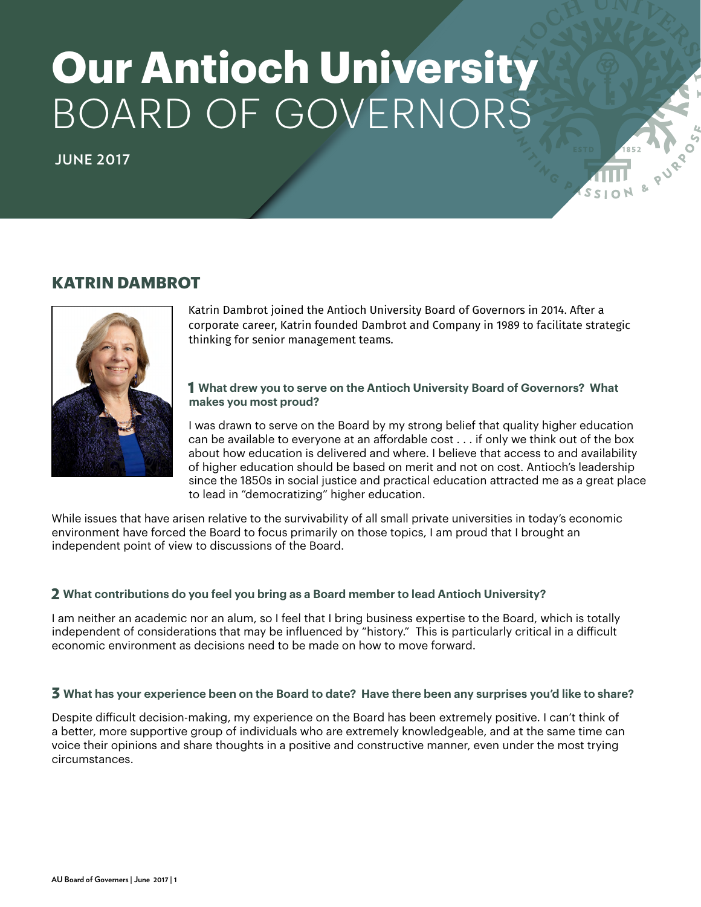# **Our Antioch University** BOARD OF GOVERNORS

**JUNE 2017**

# **KATRIN DAMBROT**



Katrin Dambrot joined the Antioch University Board of Governors in 2014. After a corporate career, Katrin founded Dambrot and Company in 1989 to facilitate strategic thinking for senior management teams.

# 1 **What drew you to serve on the Antioch University Board of Governors? What makes you most proud?**

I was drawn to serve on the Board by my strong belief that quality higher education can be available to everyone at an affordable cost . . . if only we think out of the box about how education is delivered and where. I believe that access to and availability of higher education should be based on merit and not on cost. Antioch's leadership since the 1850s in social justice and practical education attracted me as a great place to lead in "democratizing" higher education.

While issues that have arisen relative to the survivability of all small private universities in today's economic environment have forced the Board to focus primarily on those topics, I am proud that I brought an independent point of view to discussions of the Board.

# 2 **What contributions do you feel you bring as a Board member to lead Antioch University?**

I am neither an academic nor an alum, so I feel that I bring business expertise to the Board, which is totally independent of considerations that may be influenced by "history." This is particularly critical in a difficult economic environment as decisions need to be made on how to move forward.

# 3 **What has your experience been on the Board to date? Have there been any surprises you'd like to share?**

Despite difficult decision-making, my experience on the Board has been extremely positive. I can't think of a better, more supportive group of individuals who are extremely knowledgeable, and at the same time can voice their opinions and share thoughts in a positive and constructive manner, even under the most trying circumstances.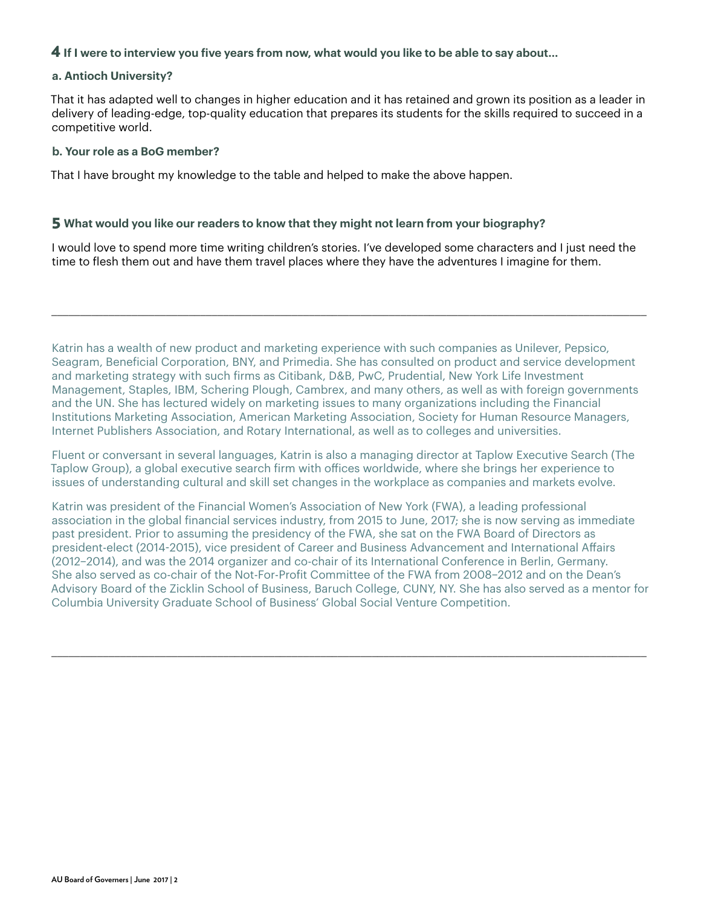# 4 **If I were to interview you five years from now, what would you like to be able to say about…**

### **a. Antioch University?**

That it has adapted well to changes in higher education and it has retained and grown its position as a leader in delivery of leading-edge, top-quality education that prepares its students for the skills required to succeed in a competitive world.

#### **b. Your role as a BoG member?**

That I have brought my knowledge to the table and helped to make the above happen.

### 5 **What would you like our readers to know that they might not learn from your biography?**

I would love to spend more time writing children's stories. I've developed some characters and I just need the time to flesh them out and have them travel places where they have the adventures I imagine for them.

\_\_\_\_\_\_\_\_\_\_\_\_\_\_\_\_\_\_\_\_\_\_\_\_\_\_\_\_\_\_\_\_\_\_\_\_\_\_\_\_\_\_\_\_\_\_\_\_\_\_\_\_\_\_\_\_\_\_\_\_\_\_\_\_\_\_\_\_\_\_\_\_\_\_\_\_\_\_\_\_\_\_\_\_\_\_\_\_\_\_\_\_\_\_\_\_\_\_\_\_\_\_\_\_

Katrin has a wealth of new product and marketing experience with such companies as Unilever, Pepsico, Seagram, Beneficial Corporation, BNY, and Primedia. She has consulted on product and service development and marketing strategy with such firms as Citibank, D&B, PwC, Prudential, New York Life Investment Management, Staples, IBM, Schering Plough, Cambrex, and many others, as well as with foreign governments and the UN. She has lectured widely on marketing issues to many organizations including the Financial Institutions Marketing Association, American Marketing Association, Society for Human Resource Managers, Internet Publishers Association, and Rotary International, as well as to colleges and universities.

Fluent or conversant in several languages, Katrin is also a managing director at Taplow Executive Search (The Taplow Group), a global executive search firm with offices worldwide, where she brings her experience to issues of understanding cultural and skill set changes in the workplace as companies and markets evolve.

Katrin was president of the Financial Women's Association of New York (FWA), a leading professional association in the global financial services industry, from 2015 to June, 2017; she is now serving as immediate past president. Prior to assuming the presidency of the FWA, she sat on the FWA Board of Directors as president-elect (2014-2015), vice president of Career and Business Advancement and International Affairs (2012–2014), and was the 2014 organizer and co-chair of its International Conference in Berlin, Germany. She also served as co-chair of the Not-For-Profit Committee of the FWA from 2008–2012 and on the Dean's Advisory Board of the Zicklin School of Business, Baruch College, CUNY, NY. She has also served as a mentor for Columbia University Graduate School of Business' Global Social Venture Competition.

\_\_\_\_\_\_\_\_\_\_\_\_\_\_\_\_\_\_\_\_\_\_\_\_\_\_\_\_\_\_\_\_\_\_\_\_\_\_\_\_\_\_\_\_\_\_\_\_\_\_\_\_\_\_\_\_\_\_\_\_\_\_\_\_\_\_\_\_\_\_\_\_\_\_\_\_\_\_\_\_\_\_\_\_\_\_\_\_\_\_\_\_\_\_\_\_\_\_\_\_\_\_\_\_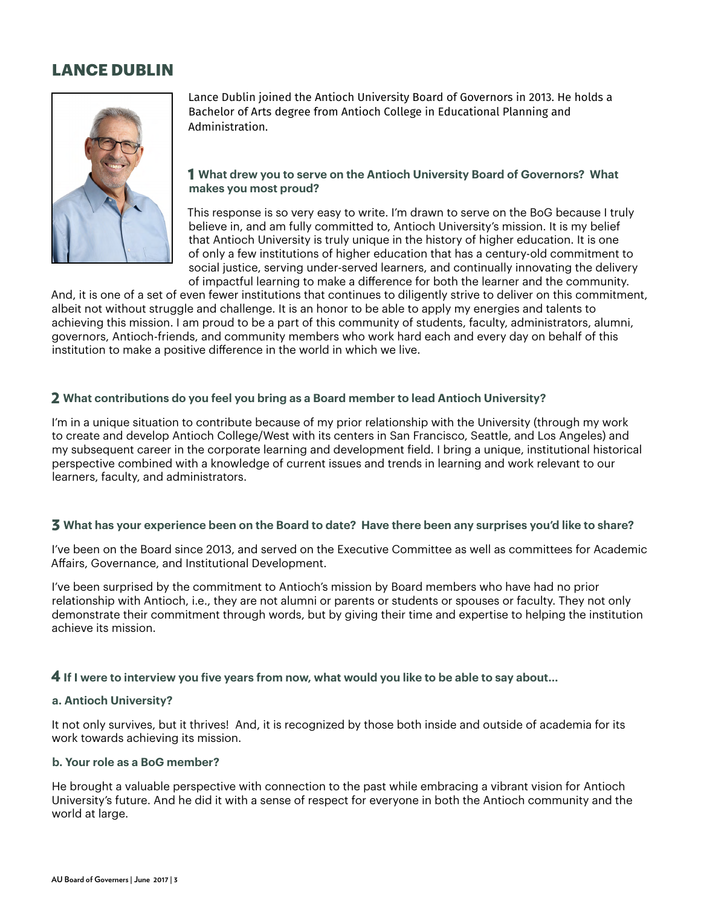# **LANCE DUBLIN**



Lance Dublin joined the Antioch University Board of Governors in 2013. He holds a Bachelor of Arts degree from Antioch College in Educational Planning and Administration.

# 1 **What drew you to serve on the Antioch University Board of Governors? What makes you most proud?**

This response is so very easy to write. I'm drawn to serve on the BoG because I truly believe in, and am fully committed to, Antioch University's mission. It is my belief that Antioch University is truly unique in the history of higher education. It is one of only a few institutions of higher education that has a century-old commitment to social justice, serving under-served learners, and continually innovating the delivery of impactful learning to make a difference for both the learner and the community.

And, it is one of a set of even fewer institutions that continues to diligently strive to deliver on this commitment, albeit not without struggle and challenge. It is an honor to be able to apply my energies and talents to achieving this mission. I am proud to be a part of this community of students, faculty, administrators, alumni, governors, Antioch-friends, and community members who work hard each and every day on behalf of this institution to make a positive difference in the world in which we live.

# 2 **What contributions do you feel you bring as a Board member to lead Antioch University?**

I'm in a unique situation to contribute because of my prior relationship with the University (through my work to create and develop Antioch College/West with its centers in San Francisco, Seattle, and Los Angeles) and my subsequent career in the corporate learning and development field. I bring a unique, institutional historical perspective combined with a knowledge of current issues and trends in learning and work relevant to our learners, faculty, and administrators.

# 3 **What has your experience been on the Board to date? Have there been any surprises you'd like to share?**

I've been on the Board since 2013, and served on the Executive Committee as well as committees for Academic Affairs, Governance, and Institutional Development.

I've been surprised by the commitment to Antioch's mission by Board members who have had no prior relationship with Antioch, i.e., they are not alumni or parents or students or spouses or faculty. They not only demonstrate their commitment through words, but by giving their time and expertise to helping the institution achieve its mission.

# 4 **If I were to interview you five years from now, what would you like to be able to say about…**

# **a. Antioch University?**

It not only survives, but it thrives! And, it is recognized by those both inside and outside of academia for its work towards achieving its mission.

# **b. Your role as a BoG member?**

He brought a valuable perspective with connection to the past while embracing a vibrant vision for Antioch University's future. And he did it with a sense of respect for everyone in both the Antioch community and the world at large.